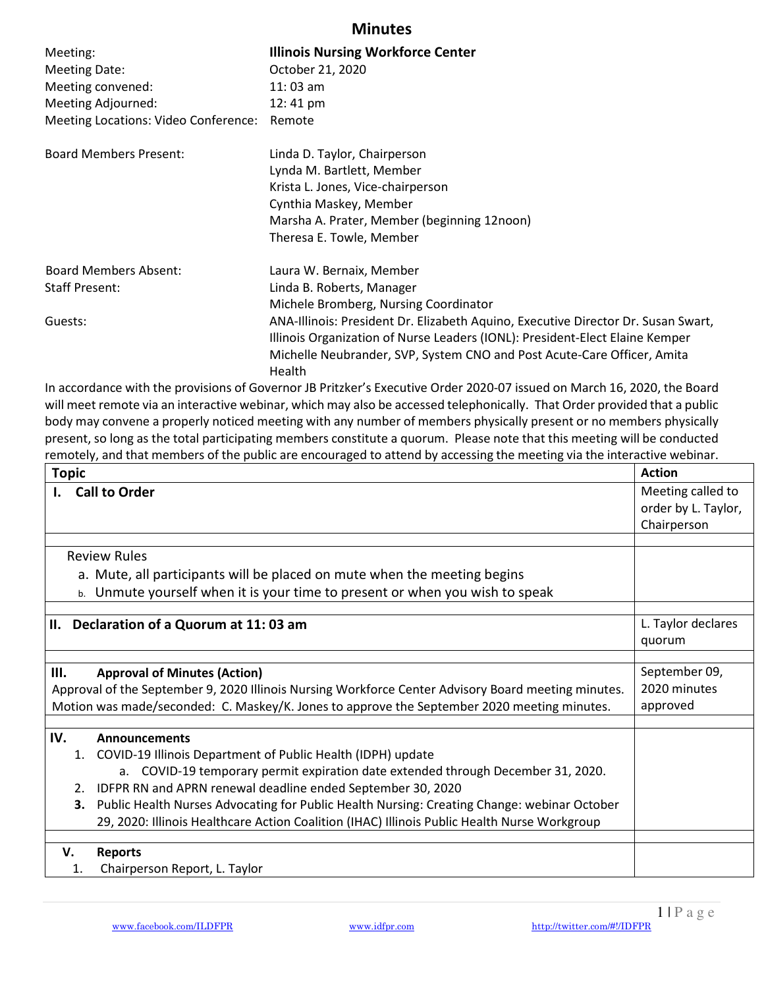## Minutes

| Meeting:                             | <b>Illinois Nursing Workforce Center</b>                                          |
|--------------------------------------|-----------------------------------------------------------------------------------|
| <b>Meeting Date:</b>                 | October 21, 2020                                                                  |
| Meeting convened:                    | $11:03$ am                                                                        |
| Meeting Adjourned:                   | $12:41 \text{ pm}$                                                                |
| Meeting Locations: Video Conference: | Remote                                                                            |
| <b>Board Members Present:</b>        | Linda D. Taylor, Chairperson                                                      |
|                                      | Lynda M. Bartlett, Member                                                         |
|                                      | Krista L. Jones, Vice-chairperson                                                 |
|                                      | Cynthia Maskey, Member                                                            |
|                                      | Marsha A. Prater, Member (beginning 12noon)                                       |
|                                      | Theresa E. Towle, Member                                                          |
| <b>Board Members Absent:</b>         | Laura W. Bernaix, Member                                                          |
| <b>Staff Present:</b>                | Linda B. Roberts, Manager                                                         |
|                                      | Michele Bromberg, Nursing Coordinator                                             |
| Guests:                              | ANA-Illinois: President Dr. Elizabeth Aquino, Executive Director Dr. Susan Swart, |
|                                      | Illinois Organization of Nurse Leaders (IONL): President-Elect Elaine Kemper      |
|                                      | Michelle Neubrander, SVP, System CNO and Post Acute-Care Officer, Amita           |
|                                      | Health                                                                            |
|                                      |                                                                                   |

In accordance with the provisions of Governor JB Pritzker's Executive Order 2020-07 issued on March 16, 2020, the Board will meet remote via an interactive webinar, which may also be accessed telephonically. That Order provided that a public body may convene a properly noticed meeting with any number of members physically present or no members physically present, so long as the total participating members constitute a quorum. Please note that this meeting will be conducted remotely, and that members of the public are encouraged to attend by accessing the meeting via the interactive webinar.

| <b>Topic</b>                                                                                        |                                                                                              | <b>Action</b>       |
|-----------------------------------------------------------------------------------------------------|----------------------------------------------------------------------------------------------|---------------------|
| <b>Call to Order</b><br>Ι.                                                                          |                                                                                              | Meeting called to   |
|                                                                                                     |                                                                                              | order by L. Taylor, |
|                                                                                                     |                                                                                              | Chairperson         |
|                                                                                                     |                                                                                              |                     |
|                                                                                                     | <b>Review Rules</b>                                                                          |                     |
|                                                                                                     | a. Mute, all participants will be placed on mute when the meeting begins                     |                     |
|                                                                                                     | b. Unmute yourself when it is your time to present or when you wish to speak                 |                     |
|                                                                                                     |                                                                                              |                     |
| II. Declaration of a Quorum at 11:03 am                                                             |                                                                                              | L. Taylor declares  |
|                                                                                                     |                                                                                              | quorum              |
|                                                                                                     |                                                                                              |                     |
| Ш.                                                                                                  | <b>Approval of Minutes (Action)</b>                                                          | September 09,       |
| Approval of the September 9, 2020 Illinois Nursing Workforce Center Advisory Board meeting minutes. |                                                                                              | 2020 minutes        |
| Motion was made/seconded: C. Maskey/K. Jones to approve the September 2020 meeting minutes.         |                                                                                              | approved            |
|                                                                                                     |                                                                                              |                     |
| IV.                                                                                                 | <b>Announcements</b>                                                                         |                     |
|                                                                                                     | 1. COVID-19 Illinois Department of Public Health (IDPH) update                               |                     |
|                                                                                                     | a. COVID-19 temporary permit expiration date extended through December 31, 2020.             |                     |
| 2.                                                                                                  | IDFPR RN and APRN renewal deadline ended September 30, 2020                                  |                     |
| з.                                                                                                  | Public Health Nurses Advocating for Public Health Nursing: Creating Change: webinar October  |                     |
|                                                                                                     | 29, 2020: Illinois Healthcare Action Coalition (IHAC) Illinois Public Health Nurse Workgroup |                     |
|                                                                                                     |                                                                                              |                     |
| V.                                                                                                  | <b>Reports</b>                                                                               |                     |
| 1.                                                                                                  | Chairperson Report, L. Taylor                                                                |                     |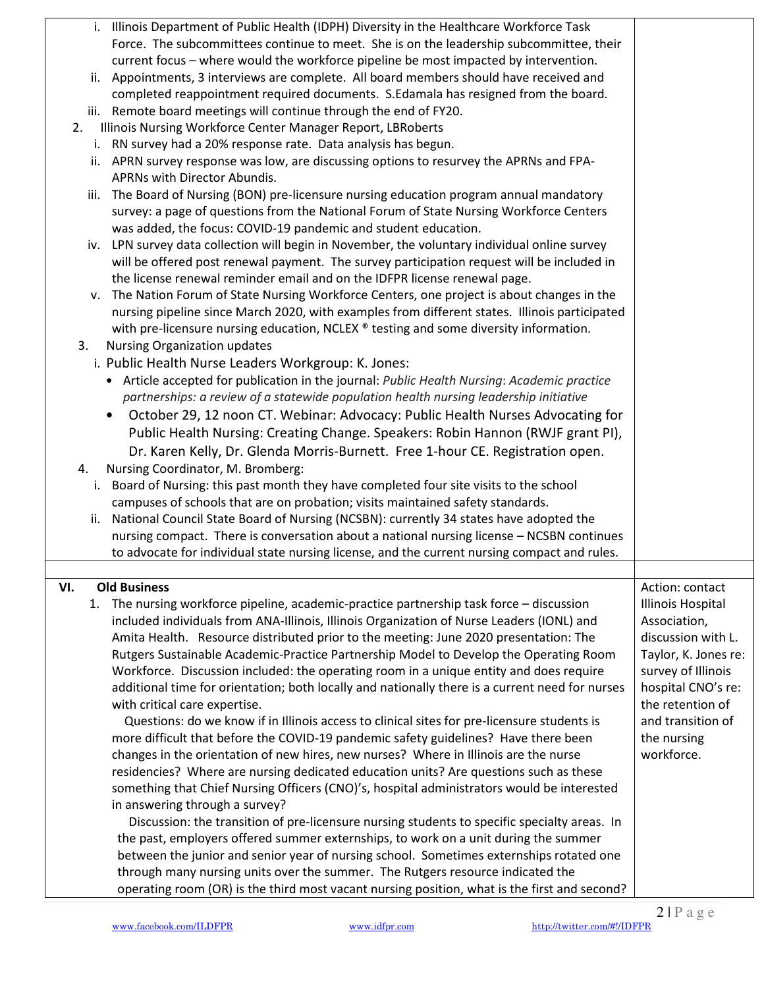| i. Illinois Department of Public Health (IDPH) Diversity in the Healthcare Workforce Task       |                      |
|-------------------------------------------------------------------------------------------------|----------------------|
| Force. The subcommittees continue to meet. She is on the leadership subcommittee, their         |                      |
| current focus – where would the workforce pipeline be most impacted by intervention.            |                      |
| Appointments, 3 interviews are complete. All board members should have received and<br>ii.      |                      |
| completed reappointment required documents. S.Edamala has resigned from the board.              |                      |
| iii. Remote board meetings will continue through the end of FY20.                               |                      |
| Illinois Nursing Workforce Center Manager Report, LBRoberts<br>2.                               |                      |
| i. RN survey had a 20% response rate. Data analysis has begun.                                  |                      |
| ii. APRN survey response was low, are discussing options to resurvey the APRNs and FPA-         |                      |
| APRNs with Director Abundis.                                                                    |                      |
| The Board of Nursing (BON) pre-licensure nursing education program annual mandatory<br>iii.     |                      |
| survey: a page of questions from the National Forum of State Nursing Workforce Centers          |                      |
| was added, the focus: COVID-19 pandemic and student education.                                  |                      |
| iv. LPN survey data collection will begin in November, the voluntary individual online survey   |                      |
| will be offered post renewal payment. The survey participation request will be included in      |                      |
| the license renewal reminder email and on the IDFPR license renewal page.                       |                      |
| The Nation Forum of State Nursing Workforce Centers, one project is about changes in the<br>ν.  |                      |
| nursing pipeline since March 2020, with examples from different states. Illinois participated   |                      |
| with pre-licensure nursing education, NCLEX ® testing and some diversity information.           |                      |
| Nursing Organization updates<br>3.                                                              |                      |
| i. Public Health Nurse Leaders Workgroup: K. Jones:                                             |                      |
| • Article accepted for publication in the journal: Public Health Nursing: Academic practice     |                      |
| partnerships: a review of a statewide population health nursing leadership initiative           |                      |
| October 29, 12 noon CT. Webinar: Advocacy: Public Health Nurses Advocating for<br>$\bullet$     |                      |
| Public Health Nursing: Creating Change. Speakers: Robin Hannon (RWJF grant PI),                 |                      |
|                                                                                                 |                      |
| Dr. Karen Kelly, Dr. Glenda Morris-Burnett. Free 1-hour CE. Registration open.                  |                      |
| Nursing Coordinator, M. Bromberg:<br>4.                                                         |                      |
| Board of Nursing: this past month they have completed four site visits to the school<br>i.      |                      |
| campuses of schools that are on probation; visits maintained safety standards.                  |                      |
| National Council State Board of Nursing (NCSBN): currently 34 states have adopted the<br>ii.    |                      |
| nursing compact. There is conversation about a national nursing license - NCSBN continues       |                      |
| to advocate for individual state nursing license, and the current nursing compact and rules.    |                      |
| VI.<br><b>Old Business</b>                                                                      | Action: contact      |
| 1. The nursing workforce pipeline, academic-practice partnership task force - discussion        | Illinois Hospital    |
| included individuals from ANA-Illinois, Illinois Organization of Nurse Leaders (IONL) and       | Association,         |
| Amita Health. Resource distributed prior to the meeting: June 2020 presentation: The            | discussion with L.   |
| Rutgers Sustainable Academic-Practice Partnership Model to Develop the Operating Room           | Taylor, K. Jones re: |
| Workforce. Discussion included: the operating room in a unique entity and does require          | survey of Illinois   |
|                                                                                                 | hospital CNO's re:   |
| additional time for orientation; both locally and nationally there is a current need for nurses | the retention of     |
| with critical care expertise.                                                                   |                      |
| Questions: do we know if in Illinois access to clinical sites for pre-licensure students is     | and transition of    |
| more difficult that before the COVID-19 pandemic safety guidelines? Have there been             | the nursing          |
| changes in the orientation of new hires, new nurses? Where in Illinois are the nurse            | workforce.           |
| residencies? Where are nursing dedicated education units? Are questions such as these           |                      |
| something that Chief Nursing Officers (CNO)'s, hospital administrators would be interested      |                      |
| in answering through a survey?                                                                  |                      |
| Discussion: the transition of pre-licensure nursing students to specific specialty areas. In    |                      |
| the past, employers offered summer externships, to work on a unit during the summer             |                      |
| between the junior and senior year of nursing school. Sometimes externships rotated one         |                      |
| through many nursing units over the summer. The Rutgers resource indicated the                  |                      |
| operating room (OR) is the third most vacant nursing position, what is the first and second?    |                      |